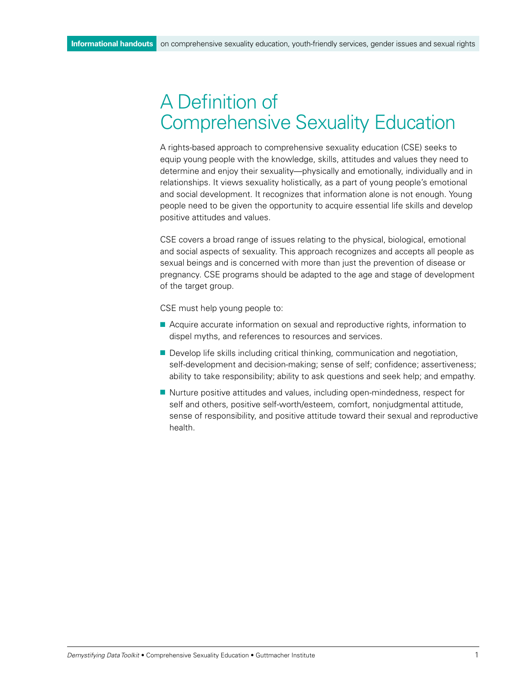# A Definition of Comprehensive Sexuality Education

A rights-based approach to comprehensive sexuality education (CSE) seeks to equip young people with the knowledge, skills, attitudes and values they need to determine and enjoy their sexuality—physically and emotionally, individually and in relationships. It views sexuality holistically, as a part of young people's emotional and social development. It recognizes that information alone is not enough. Young people need to be given the opportunity to acquire essential life skills and develop positive attitudes and values.

CSE covers a broad range of issues relating to the physical, biological, emotional and social aspects of sexuality. This approach recognizes and accepts all people as sexual beings and is concerned with more than just the prevention of disease or pregnancy. CSE programs should be adapted to the age and stage of development of the target group.

CSE must help young people to:

- Acquire accurate information on sexual and reproductive rights, information to dispel myths, and references to resources and services.
- **n** Develop life skills including critical thinking, communication and negotiation, self-development and decision-making; sense of self; confidence; assertiveness; ability to take responsibility; ability to ask questions and seek help; and empathy.
- Nurture positive attitudes and values, including open-mindedness, respect for self and others, positive self-worth/esteem, comfort, nonjudgmental attitude, sense of responsibility, and positive attitude toward their sexual and reproductive health.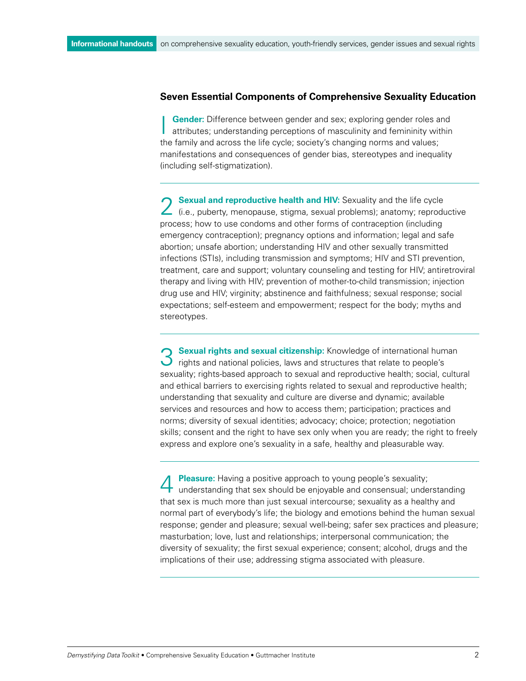#### **Seven Essential Components of Comprehensive Sexuality Education**

**Gender:** Difference between gender and sex; exploring gender roles and attributes; understanding perceptions of masculinity and femininity within the family and across the life cycle; society's changing norms and values; manifestations and consequences of gender bias, stereotypes and inequality (including self-stigmatization).

2 **Sexual and reproductive health and HIV:** Sexuality and the life cycle (i.e., puberty, menopause, stigma, sexual problems); anatomy; reproductive process; how to use condoms and other forms of contraception (including emergency contraception); pregnancy options and information; legal and safe abortion; unsafe abortion; understanding HIV and other sexually transmitted infections (STIs), including transmission and symptoms; HIV and STI prevention, treatment, care and support; voluntary counseling and testing for HIV; antiretroviral therapy and living with HIV; prevention of mother-to-child transmission; injection drug use and HIV; virginity; abstinence and faithfulness; sexual response; social expectations; self-esteem and empowerment; respect for the body; myths and stereotypes.

**3 Sexual rights and sexual citizenship:** Knowledge of international human  $\bigcup$  rights and national policies, laws and structures that relate to people's sexuality; rights-based approach to sexual and reproductive health; social, cultural and ethical barriers to exercising rights related to sexual and reproductive health; understanding that sexuality and culture are diverse and dynamic; available services and resources and how to access them; participation; practices and norms; diversity of sexual identities; advocacy; choice; protection; negotiation skills; consent and the right to have sex only when you are ready; the right to freely express and explore one's sexuality in a safe, healthy and pleasurable way.

**Pleasure:** Having a positive approach to young people's sexuality; understanding that sex should be enjoyable and consensual; understanding that sex is much more than just sexual intercourse; sexuality as a healthy and normal part of everybody's life; the biology and emotions behind the human sexual response; gender and pleasure; sexual well-being; safer sex practices and pleasure; masturbation; love, lust and relationships; interpersonal communication; the diversity of sexuality; the first sexual experience; consent; alcohol, drugs and the implications of their use; addressing stigma associated with pleasure.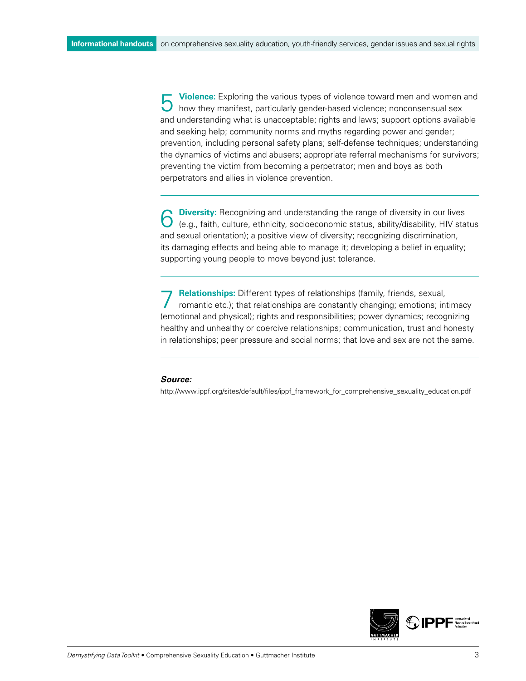**Violence:** Exploring the various types of violence toward men and women and how they manifest, particularly gender-based violence; nonconsensual sex and understanding what is unacceptable; rights and laws; support options available and seeking help; community norms and myths regarding power and gender; prevention, including personal safety plans; self-defense techniques; understanding the dynamics of victims and abusers; appropriate referral mechanisms for survivors; preventing the victim from becoming a perpetrator; men and boys as both perpetrators and allies in violence prevention.

**Diversity:** Recognizing and understanding the range of diversity in our lives (e.g., faith, culture, ethnicity, socioeconomic status, ability/disability, HIV status and sexual orientation); a positive view of diversity; recognizing discrimination, its damaging effects and being able to manage it; developing a belief in equality; supporting young people to move beyond just tolerance.

7 **Relationships:** Different types of relationships (family, friends, sexual, romantic etc.); that relationships are constantly changing; emotions; intimacy (emotional and physical); rights and responsibilities; power dynamics; recognizing healthy and unhealthy or coercive relationships; communication, trust and honesty in relationships; peer pressure and social norms; that love and sex are not the same.

#### *Source:*

http://www.ippf.org/sites/default/files/ippf\_framework\_for\_comprehensive\_sexuality\_education.pdf

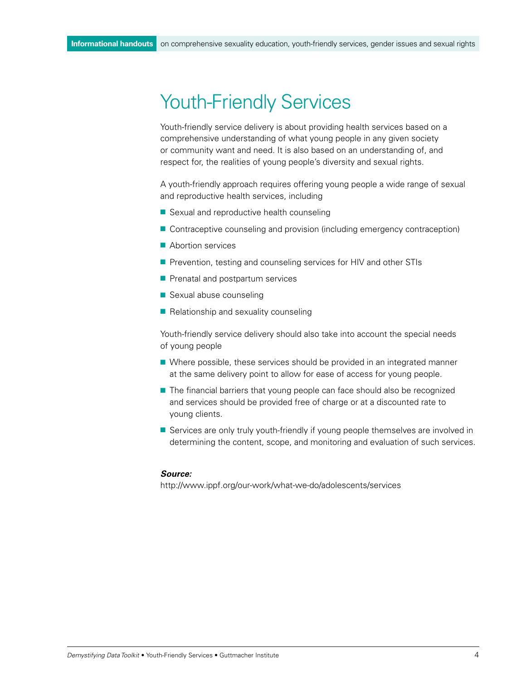# Youth-Friendly Services

Youth-friendly service delivery is about providing health services based on a comprehensive understanding of what young people in any given society or community want and need. It is also based on an understanding of, and respect for, the realities of young people's diversity and sexual rights.

A youth-friendly approach requires offering young people a wide range of sexual and reproductive health services, including

- Sexual and reproductive health counseling
- Contraceptive counseling and provision (including emergency contraception)
- $\blacksquare$  Abortion services
- **Prevention, testing and counseling services for HIV and other STIs**
- $\blacksquare$  Prenatal and postpartum services
- $\blacksquare$  Sexual abuse counseling
- $\blacksquare$  Relationship and sexuality counseling

Youth-friendly service delivery should also take into account the special needs of young people

- Where possible, these services should be provided in an integrated manner at the same delivery point to allow for ease of access for young people.
- $\blacksquare$  The financial barriers that young people can face should also be recognized and services should be provided free of charge or at a discounted rate to young clients.
- Services are only truly youth-friendly if young people themselves are involved in determining the content, scope, and monitoring and evaluation of such services.

#### *Source:*

http://www.ippf.org/our-work/what-we-do/adolescents/services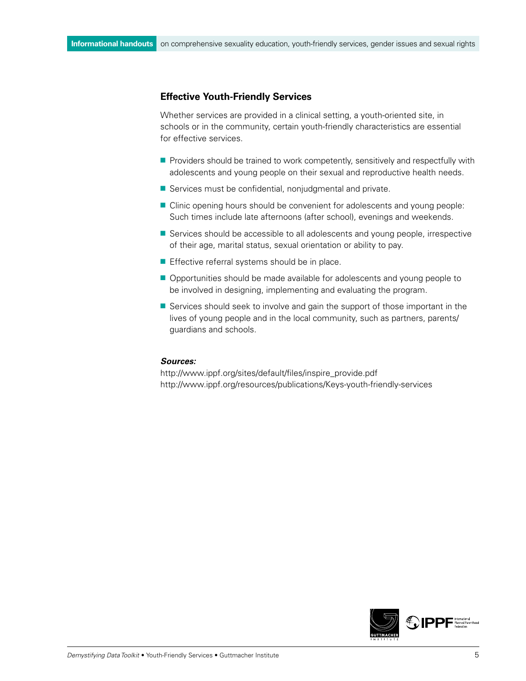### **Effective Youth-Friendly Services**

Whether services are provided in a clinical setting, a youth-oriented site, in schools or in the community, certain youth-friendly characteristics are essential for effective services.

- $\blacksquare$  Providers should be trained to work competently, sensitively and respectfully with adolescents and young people on their sexual and reproductive health needs.
- $\blacksquare$  Services must be confidential, nonjudgmental and private.
- Clinic opening hours should be convenient for adolescents and young people: Such times include late afternoons (after school), evenings and weekends.
- **E** Services should be accessible to all adolescents and young people, irrespective of their age, marital status, sexual orientation or ability to pay.
- $\blacksquare$  Effective referral systems should be in place.
- Opportunities should be made available for adolescents and young people to be involved in designing, implementing and evaluating the program.
- $\blacksquare$  Services should seek to involve and gain the support of those important in the lives of young people and in the local community, such as partners, parents/ guardians and schools.

#### *Sources:*

[http://www.ippf.org/sites/default/files/inspire\\_provide.pdf](http://www.ippf.org/sites/default/files/inspire_provide.pdf)  <http://www.ippf.org/resources/publications/Keys-youth-friendly-services>

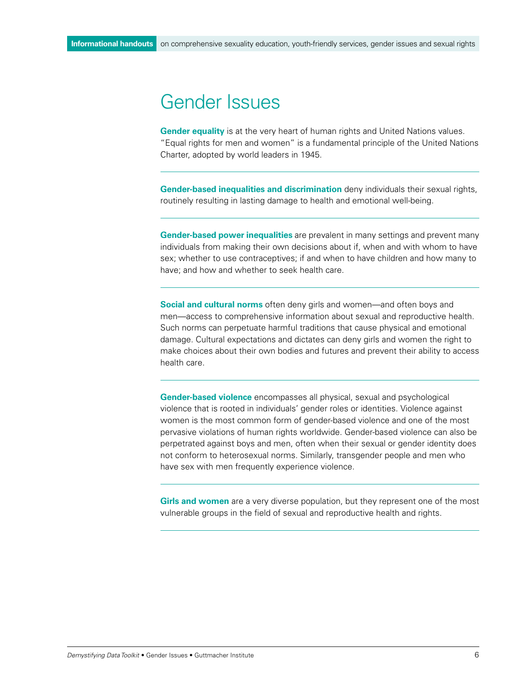## Gender Issues

**Gender equality** is at the very heart of human rights and United Nations values. "Equal rights for men and women" is a fundamental principle of the United Nations Charter, adopted by world leaders in 1945.

**Gender-based inequalities and discrimination** deny individuals their sexual rights, routinely resulting in lasting damage to health and emotional well-being.

**Gender-based power inequalities** are prevalent in many settings and prevent many individuals from making their own decisions about if, when and with whom to have sex; whether to use contraceptives; if and when to have children and how many to have; and how and whether to seek health care.

**Social and cultural norms** often deny girls and women—and often boys and men—access to comprehensive information about sexual and reproductive health. Such norms can perpetuate harmful traditions that cause physical and emotional damage. Cultural expectations and dictates can deny girls and women the right to make choices about their own bodies and futures and prevent their ability to access health care.

**Gender-based violence** encompasses all physical, sexual and psychological violence that is rooted in individuals' gender roles or identities. Violence against women is the most common form of gender-based violence and one of the most pervasive violations of human rights worldwide. Gender-based violence can also be perpetrated against boys and men, often when their sexual or gender identity does not conform to heterosexual norms. Similarly, transgender people and men who have sex with men frequently experience violence.

**Girls and women** are a very diverse population, but they represent one of the most vulnerable groups in the field of sexual and reproductive health and rights.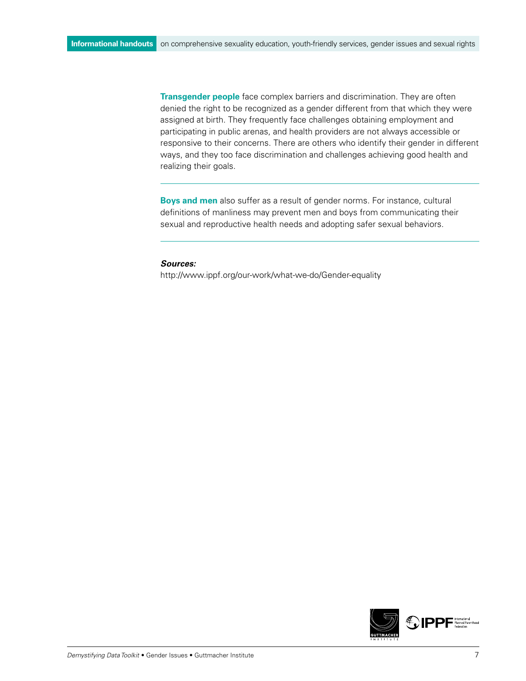**Transgender people** face complex barriers and discrimination. They are often denied the right to be recognized as a gender different from that which they were assigned at birth. They frequently face challenges obtaining employment and participating in public arenas, and health providers are not always accessible or responsive to their concerns. There are others who identify their gender in different ways, and they too face discrimination and challenges achieving good health and realizing their goals.

**Boys and men** also suffer as a result of gender norms. For instance, cultural definitions of manliness may prevent men and boys from communicating their sexual and reproductive health needs and adopting safer sexual behaviors.

#### *Sources:*

<http://www.ippf.org/our-work/what-we-do/Gender-equality>

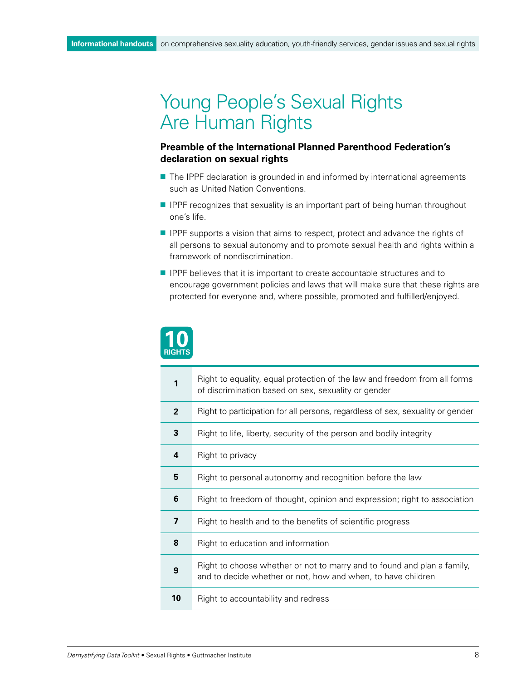# Young People's Sexual Rights Are Human Rights

### **Preamble of the International Planned Parenthood Federation's declaration on sexual rights**

- The IPPF declaration is grounded in and informed by international agreements such as United Nation Conventions.
- **n** IPPF recognizes that sexuality is an important part of being human throughout one's life.
- **PIPPF** supports a vision that aims to respect, protect and advance the rights of all persons to sexual autonomy and to promote sexual health and rights within a framework of nondiscrimination.
- **P** IPPF believes that it is important to create accountable structures and to encourage government policies and laws that will make sure that these rights are protected for everyone and, where possible, promoted and fulfilled/enjoyed.



| 1                       | Right to equality, equal protection of the law and freedom from all forms<br>of discrimination based on sex, sexuality or gender        |
|-------------------------|-----------------------------------------------------------------------------------------------------------------------------------------|
| $\overline{2}$          | Right to participation for all persons, regardless of sex, sexuality or gender                                                          |
| 3                       | Right to life, liberty, security of the person and bodily integrity                                                                     |
| 4                       | Right to privacy                                                                                                                        |
| 5                       | Right to personal autonomy and recognition before the law                                                                               |
| 6                       | Right to freedom of thought, opinion and expression; right to association                                                               |
| $\overline{\mathbf{z}}$ | Right to health and to the benefits of scientific progress                                                                              |
| 8                       | Right to education and information                                                                                                      |
| 9                       | Right to choose whether or not to marry and to found and plan a family,<br>and to decide whether or not, how and when, to have children |
| 10                      | Right to accountability and redress                                                                                                     |